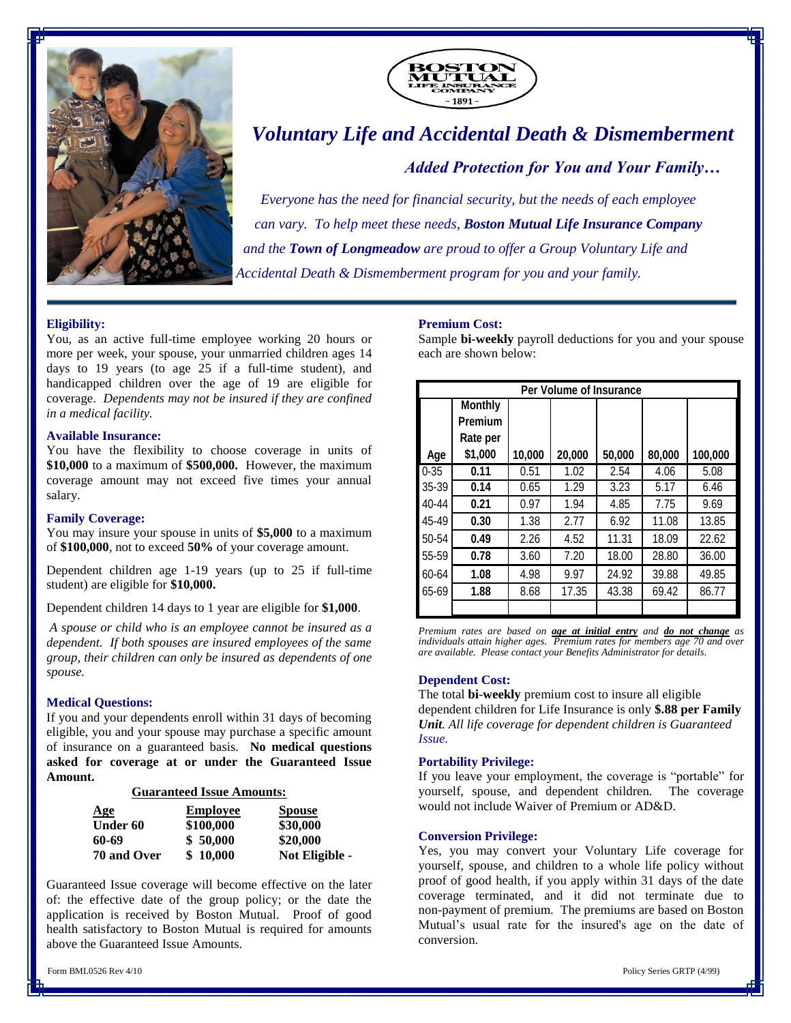



# *Voluntary Life and Accidental Death & Dismemberment*

*Added Protection for You and Your Family…*

*Everyone has the need for financial security, but the needs of each employee can vary. To help meet these needs, Boston Mutual Life Insurance Company and the Town of Longmeadow are proud to offer a Group Voluntary Life and Accidental Death & Dismemberment program for you and your family.*

# **Eligibility:**

You, as an active full-time employee working 20 hours or more per week, your spouse, your unmarried children ages 14 days to 19 years (to age 25 if a full-time student), and handicapped children over the age of 19 are eligible for coverage. *Dependents may not be insured if they are confined in a medical facility.* 

### **Available Insurance:**

You have the flexibility to choose coverage in units of **\$10,000** to a maximum of **\$500,000.** However, the maximum coverage amount may not exceed five times your annual salary.

### **Family Coverage:**

You may insure your spouse in units of **\$5,000** to a maximum of **\$100,000**, not to exceed **50%** of your coverage amount.

Dependent children age 1-19 years (up to 25 if full-time student) are eligible for **\$10,000.**

Dependent children 14 days to 1 year are eligible for **\$1,000**.

*A spouse or child who is an employee cannot be insured as a dependent. If both spouses are insured employees of the same group, their children can only be insured as dependents of one spouse.*

# **Medical Questions:**

If you and your dependents enroll within 31 days of becoming eligible, you and your spouse may purchase a specific amount of insurance on a guaranteed basis. **No medical questions asked for coverage at or under the Guaranteed Issue Amount.**

# **Guaranteed Issue Amounts:**

| Age         | <b>Employee</b> | <b>Spouse</b><br>\$30,000 |  |
|-------------|-----------------|---------------------------|--|
| Under 60    | \$100,000       |                           |  |
| 60-69       | \$50,000        | \$20,000                  |  |
| 70 and Over | \$10,000        | Not Eligible -            |  |

Guaranteed Issue coverage will become effective on the later of: the effective date of the group policy; or the date the application is received by Boston Mutual. Proof of good health satisfactory to Boston Mutual is required for amounts above the Guaranteed Issue Amounts.

<u>Products and the product of the product of the product of the product of the product of the product of the product of the product of the product of the product of the product of the product of the product of the product o</u>

Form BML0526 Rev 4/10 Policy Series GRTP (4/99)

#### **Premium Cost:**

Sample **bi-weekly** payroll deductions for you and your spouse each are shown below:

| Per Volume of Insurance |                |        |        |        |        |         |  |
|-------------------------|----------------|--------|--------|--------|--------|---------|--|
|                         | <b>Monthly</b> |        |        |        |        |         |  |
|                         | <b>Premium</b> |        |        |        |        |         |  |
|                         | Rate per       |        |        |        |        |         |  |
| Age                     | \$1,000        | 10,000 | 20,000 | 50,000 | 80,000 | 100,000 |  |
| $0 - 35$                | 0.11           | 0.51   | 1.02   | 2.54   | 4.06   | 5.08    |  |
| $35 - 39$               | 0.14           | 0.65   | 1.29   | 3.23   | 5.17   | 6.46    |  |
| 40-44                   | 0.21           | 0.97   | 1.94   | 4.85   | 7.75   | 9.69    |  |
| 45-49                   | 0.30           | 1.38   | 2.77   | 6.92   | 11.08  | 13.85   |  |
| 50-54                   | 0.49           | 2.26   | 4.52   | 11.31  | 18.09  | 22.62   |  |
| 55-59                   | 0.78           | 3.60   | 7.20   | 18.00  | 28.80  | 36.00   |  |
| 60-64                   | 1.08           | 4.98   | 9.97   | 24.92  | 39.88  | 49.85   |  |
| 65-69                   | 1.88           | 8.68   | 17.35  | 43.38  | 69.42  | 86.77   |  |
|                         |                |        |        |        |        |         |  |

*Premium rates are based on age at initial entry and do not change as individuals attain higher ages. Premium rates for members age 70 and over are available. Please contact your Benefits Administrator for details.*

# **Dependent Cost:**

The total **bi**-**weekly** premium cost to insure all eligible dependent children for Life Insurance is only \$.88 per Family *Unit. All life coverage for dependent children is Guaranteed Issue.*

## **Portability Privilege:**

If you leave your employment, the coverage is "portable" for yourself, spouse, and dependent children. The coverage would not include Waiver of Premium or AD&D.

### **Conversion Privilege:**

Yes, you may convert your Voluntary Life coverage for yourself, spouse, and children to a whole life policy without proof of good health, if you apply within 31 days of the date coverage terminated, and it did not terminate due to non-payment of premium. The premiums are based on Boston Mutual's usual rate for the insured's age on the date of conversion.